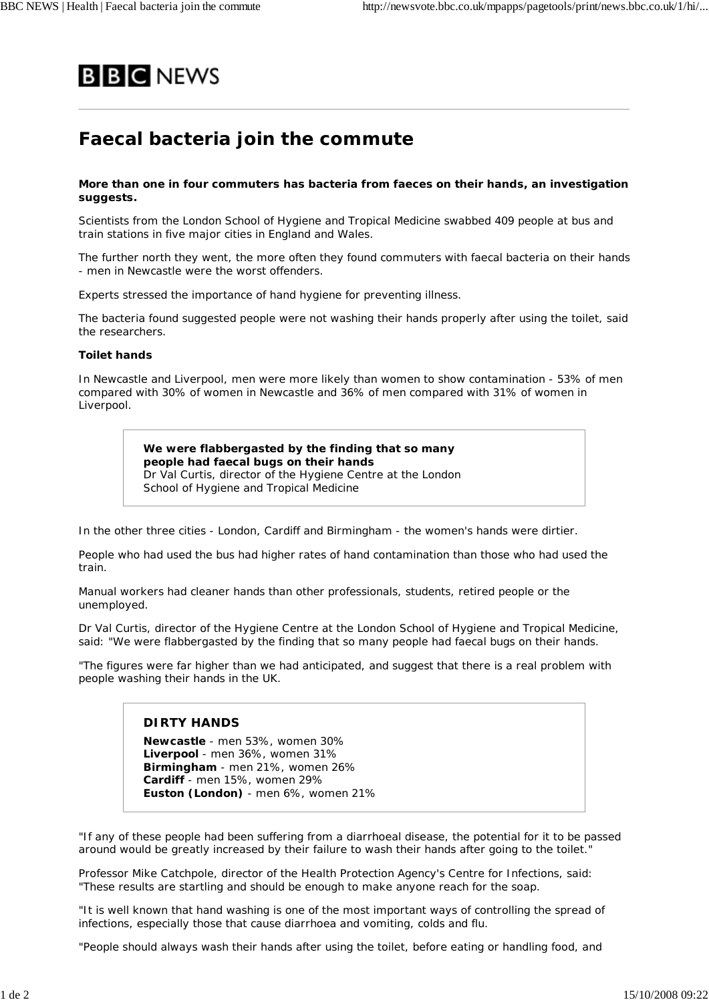

# **Faecal bacteria join the commute**

### **More than one in four commuters has bacteria from faeces on their hands, an investigation suggests.**

Scientists from the London School of Hygiene and Tropical Medicine swabbed 409 people at bus and train stations in five major cities in England and Wales.

The further north they went, the more often they found commuters with faecal bacteria on their hands - men in Newcastle were the worst offenders.

Experts stressed the importance of hand hygiene for preventing illness.

The bacteria found suggested people were not washing their hands properly after using the toilet, said the researchers.

### **Toilet hands**

In Newcastle and Liverpool, men were more likely than women to show contamination - 53% of men compared with 30% of women in Newcastle and 36% of men compared with 31% of women in Liverpool.

> **We were flabbergasted by the finding that so many people had faecal bugs on their hands** Dr Val Curtis, director of the Hygiene Centre at the London School of Hygiene and Tropical Medicine

In the other three cities - London, Cardiff and Birmingham - the women's hands were dirtier.

People who had used the bus had higher rates of hand contamination than those who had used the train.

Manual workers had cleaner hands than other professionals, students, retired people or the unemployed.

Dr Val Curtis, director of the Hygiene Centre at the London School of Hygiene and Tropical Medicine, said: "We were flabbergasted by the finding that so many people had faecal bugs on their hands.

"The figures were far higher than we had anticipated, and suggest that there is a real problem with people washing their hands in the UK.

## **DIRTY HANDS**

**Newcastle** - men 53%, women 30% **Liverpool** - men 36%, women 31% **Birmingham** - men 21%, women 26% **Cardiff** - men 15%, women 29% **Euston (London)** - men 6%, women 21%

"If any of these people had been suffering from a diarrhoeal disease, the potential for it to be passed around would be greatly increased by their failure to wash their hands after going to the toilet."

Professor Mike Catchpole, director of the Health Protection Agency's Centre for Infections, said: "These results are startling and should be enough to make anyone reach for the soap.

"It is well known that hand washing is one of the most important ways of controlling the spread of infections, especially those that cause diarrhoea and vomiting, colds and flu.

"People should always wash their hands after using the toilet, before eating or handling food, and